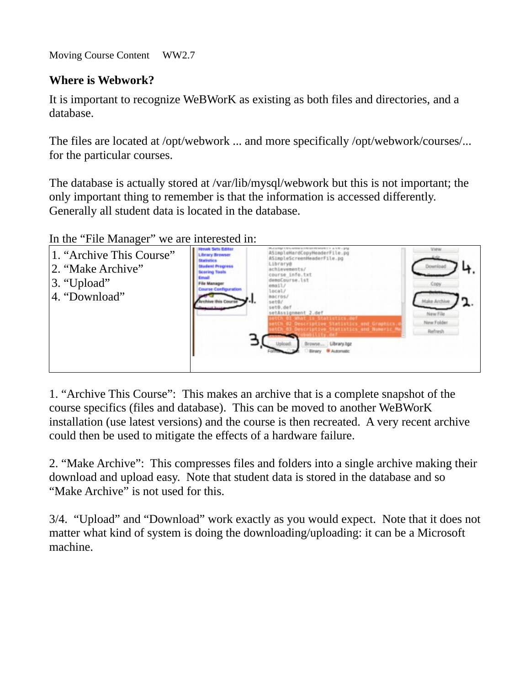Moving Course Content WW2.7

## **Where is Webwork?**

It is important to recognize WeBWorK as existing as both files and directories, and a database.

The files are located at /opt/webwork ... and more specifically /opt/webwork/courses/... for the particular courses.

The database is actually stored at /var/lib/mysql/webwork but this is not important; the only important thing to remember is that the information is accessed differently. Generally all student data is located in the database.

In the "File Manager" we are interested in:

| 1. "Archive This Course"<br>2. "Make Archive"<br>3. "Upload"<br>4. "Download" | Henwit Sets Editor<br><b>Library Browser</b><br>Statistics<br><b>Student Progress</b><br><b>Scoring Tools</b><br>Course Configuration | ASimpleHardCopyHeaderFile.pg<br>ASimpleScreenHeaderFile.pg<br>Library@<br>achievements/<br>course info.txt<br>demoCourse.lst<br><b>MAIU</b><br>scal/<br>acros<br>set@,def<br>setAssignment 2.def<br>VICh 01 What is Statistics.def<br>Ch 02 Descriptive Statistics and Graphics.<br>Ch 03 Descriptive Statistics and Numeric M<br><b>W Automatic</b> | New Folder<br>Refresh |
|-------------------------------------------------------------------------------|---------------------------------------------------------------------------------------------------------------------------------------|------------------------------------------------------------------------------------------------------------------------------------------------------------------------------------------------------------------------------------------------------------------------------------------------------------------------------------------------------|-----------------------|
|-------------------------------------------------------------------------------|---------------------------------------------------------------------------------------------------------------------------------------|------------------------------------------------------------------------------------------------------------------------------------------------------------------------------------------------------------------------------------------------------------------------------------------------------------------------------------------------------|-----------------------|

1. "Archive This Course": This makes an archive that is a complete snapshot of the course specifics (files and database). This can be moved to another WeBWorK installation (use latest versions) and the course is then recreated. A very recent archive could then be used to mitigate the effects of a hardware failure.

2. "Make Archive": This compresses files and folders into a single archive making their download and upload easy. Note that student data is stored in the database and so "Make Archive" is not used for this.

3/4. "Upload" and "Download" work exactly as you would expect. Note that it does not matter what kind of system is doing the downloading/uploading: it can be a Microsoft machine.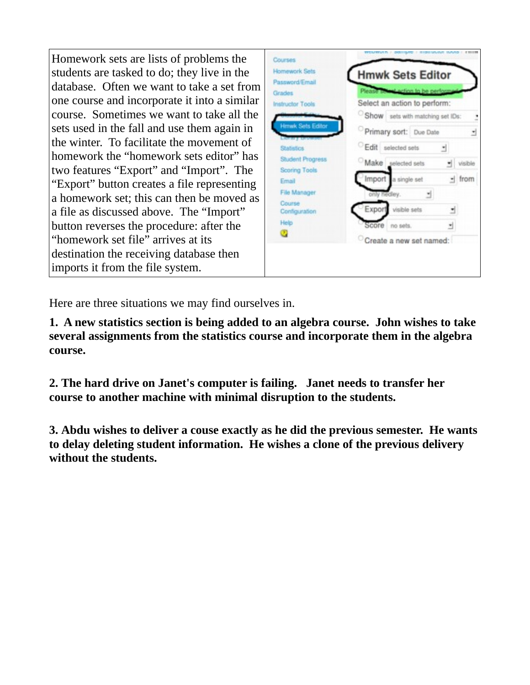Homework sets are lists of problems the students are tasked to do; they live in the database. Often we want to take a set from one course and incorporate it into a similar course. Sometimes we want to take all the sets used in the fall and use them again in the winter. To facilitate the movement of homework the "homework sets editor" has two features "Export" and "Import". The "Export" button creates a file representing a homework set; this can then be moved as a file as discussed above. The "Import" button reverses the procedure: after the "homework set file" arrives at its destination the receiving database then imports it from the file system.

| Homework Sets<br>Password/Email          | <b>Hmwk Sets Editor</b>            |
|------------------------------------------|------------------------------------|
| Grades                                   | Please solent action to be perform |
| <b>Instructor Tools</b>                  | Select an action to perform:       |
|                                          | Show sets with matching set IDs:   |
| <b>Hmwk Sets Editor</b>                  | Primary sort: Due Date<br>₫        |
| <b>Statistics</b>                        | Edit selected sets<br>÷.           |
| Student Progress<br><b>Scoring Tools</b> | Make selected sets<br>visible      |
| Email                                    | Import a single set<br>- from      |
| <b>File Manager</b>                      | only hedley.<br>z.                 |
| Course<br>Configuration                  | Export<br>visible sets<br>₫        |
| Help                                     | no sets.<br>Score<br>뉙             |
| U.                                       | Create a new set named:            |

Here are three situations we may find ourselves in.

**1. A new statistics section is being added to an algebra course. John wishes to take several assignments from the statistics course and incorporate them in the algebra course.**

**2. The hard drive on Janet's computer is failing. Janet needs to transfer her course to another machine with minimal disruption to the students.**

**3. Abdu wishes to deliver a couse exactly as he did the previous semester. He wants to delay deleting student information. He wishes a clone of the previous delivery without the students.**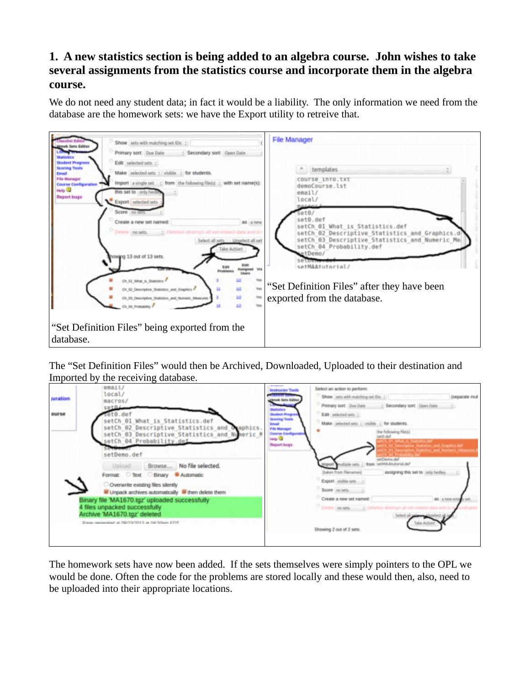## **1. A new statistics section is being added to an algebra course. John wishes to take several assignments from the statistics course and incorporate them in the algebra course.**

We do not need any student data; in fact it would be a liability. The only information we need from the database are the homework sets: we have the Export utility to retreive that.



The "Set Definition Files" would then be Archived, Downloaded, Uploaded to their destination and Imported by the receiving database.

| juration     | email<br>local/<br>macros/                                                                                                                                                            | -----<br><b>Instructor Tools</b><br>110211-014<br>much Setts Baltin                                                                                                             | Select an action to perform:<br>Show sets with matching set Ot: :<br>(separate mult                                                                                              |  |
|--------------|---------------------------------------------------------------------------------------------------------------------------------------------------------------------------------------|---------------------------------------------------------------------------------------------------------------------------------------------------------------------------------|----------------------------------------------------------------------------------------------------------------------------------------------------------------------------------|--|
| <b>OUTSE</b> | setBL<br>setCh 01 What is Statistics.def<br>setCh 02 Descriptive Statistics and Oraphics.<br>setCh 03 Descriptive Statistics and Numeric M<br>setCh 04 Probability.def<br>setDemo.def | <b>Instructors</b><br><b>Skylant Progres</b><br><b>Scoting Tools</b><br><b>Consult</b><br>File Manager<br><b>Course Configurati</b><br><b>Holte State</b><br><b>Report bugs</b> | Primary sort Due Date<br>: Secondary sort Open Date<br>Edit selected ants. ;<br>Make selected sets : visible : for students.<br>the following Neb1<br>satili dal<br>sel Demoubel |  |
|              | Browse No file selected.<br>Upload:<br>Format: Text Binary Automatic<br>Overwrite existing files silently<br>M Unpack archives automatically M then delete them                       |                                                                                                                                                                                 | - from setMAAbutorial.def<br>rqor<br><b>Italian from Nenames</b><br>assigning this set to josly hediey.<br>Export visible sets<br>Score (no sets.                                |  |
|              | Binary file 'MA1670.tgz' uploaded successfully<br>4 files unpacked successfully<br>Archive MA1670.tgz' deleted<br>Drama reansersteet or 08/7/2/2013 at 04/5/lean CTIT                 |                                                                                                                                                                                 | Create a new set named:<br>AS A MARATE<br>Control seats.<br>Showing 2 out of 2 sets.                                                                                             |  |
|              |                                                                                                                                                                                       |                                                                                                                                                                                 |                                                                                                                                                                                  |  |

The homework sets have now been added. If the sets themselves were simply pointers to the OPL we would be done. Often the code for the problems are stored locally and these would then, also, need to be uploaded into their appropriate locations.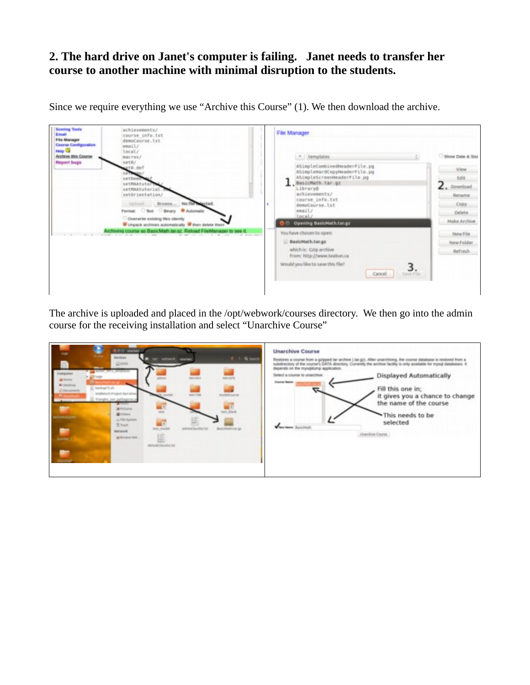## **2. The hard drive on Janet's computer is failing. Janet needs to transfer her course to another machine with minimal disruption to the students.**

| <b>Scoring Tools</b><br>Email<br><b>File Manager</b><br><b>Course Configuration</b><br>Help <b>W</b><br><b>Archive this Course</b><br><b>Report bugs</b> | achievements/<br>course info.txt<br>demoCourse.lst<br>email/<br>bscal/<br>macros/<br>set0/<br>$e10.$ def<br>settiman/<br>setDeno<br>setHAAtutorZe<br>setMAAtutorial.<br>setOrientation/<br>Liplaint:<br>Format: C'Toxt C'Binary B Automatic<br>Overente existing files silently<br>Chipack archives automatically Chen delete them<br>uchiving course as BasicMath term. Reload FileManager to see it. | File Manager<br>A bemplates<br>ASimpleCombinedHeaderFile.pg<br>ASimpleHardCopyHeaderFile.pg<br>ASimpleScreenHeaderPile.pg<br>BasicMath.tar.gz<br>Library@<br>achievements/<br>course info.txt<br>demoCourse.lst<br>email/<br>local/<br>Opening BasicMath.tar.gz<br>You have chosen to open:<br>BasicMath.tar.gz<br>which is: Gzip anchive<br>from: http://www.teabun.ca<br>Would you like to save this file? | Show Date & Size<br><b>View</b><br>Edit.<br>$L$ . Download<br>Rename<br>Copy<br>Delete.<br>Make Archive<br>New File.<br>New Folder<br>Aefresh |
|----------------------------------------------------------------------------------------------------------------------------------------------------------|--------------------------------------------------------------------------------------------------------------------------------------------------------------------------------------------------------------------------------------------------------------------------------------------------------------------------------------------------------------------------------------------------------|--------------------------------------------------------------------------------------------------------------------------------------------------------------------------------------------------------------------------------------------------------------------------------------------------------------------------------------------------------------------------------------------------------------|-----------------------------------------------------------------------------------------------------------------------------------------------|
|                                                                                                                                                          |                                                                                                                                                                                                                                                                                                                                                                                                        | Cancel<br>L Save File                                                                                                                                                                                                                                                                                                                                                                                        |                                                                                                                                               |

Since we require everything we use "Archive this Course" (1). We then download the archive.

The archive is uploaded and placed in the /opt/webwork/courses directory. We then go into the admin course for the receiving installation and select "Unarchive Course"

| <b>ODD</b> SHOWS<br><b>King</b><br>Denkeri<br>Q. teamh<br><b>COL</b><br>courses.<br>Glossia.<br><b>DRAGUE RE</b><br>Computer<br><b>BALLEY</b><br><b>MA</b> rmer<br>all Finited<br><b>M</b> Designal<br>Backup(1).ch<br>C Encyments<br>shellwisht Project Narrative.<br>exploit execut<br><b>MATTHE</b><br>framples just puthagenes p<br><b>APROVE</b><br>ant black<br><b>B</b> yldess<br><b>Information</b><br>File System<br>Sheet.<br>administration for<br>Bestowething go<br><b>Markwork</b><br>逼<br>at firewar list<br>darka@classing.htt | <b>Unarchive Course</b><br>Restores a course from a gopped tar archive [ far.gd). After unarchiving, the course database is restored from a<br>subdirectory of the course's DATA directory. Currently the archive facility is only available for mysql databases. It<br>depends on the mysqldump application.<br>Select a course to unarchive.<br><b>Displayed Automatically</b><br>Course Name:<br>Fill this one in:<br>₹.<br>it gives you a chance to change<br>the name of the course<br>This needs to be<br>selected<br><b>When have Busicheds</b><br>Unarchive Course |
|------------------------------------------------------------------------------------------------------------------------------------------------------------------------------------------------------------------------------------------------------------------------------------------------------------------------------------------------------------------------------------------------------------------------------------------------------------------------------------------------------------------------------------------------|----------------------------------------------------------------------------------------------------------------------------------------------------------------------------------------------------------------------------------------------------------------------------------------------------------------------------------------------------------------------------------------------------------------------------------------------------------------------------------------------------------------------------------------------------------------------------|
|------------------------------------------------------------------------------------------------------------------------------------------------------------------------------------------------------------------------------------------------------------------------------------------------------------------------------------------------------------------------------------------------------------------------------------------------------------------------------------------------------------------------------------------------|----------------------------------------------------------------------------------------------------------------------------------------------------------------------------------------------------------------------------------------------------------------------------------------------------------------------------------------------------------------------------------------------------------------------------------------------------------------------------------------------------------------------------------------------------------------------------|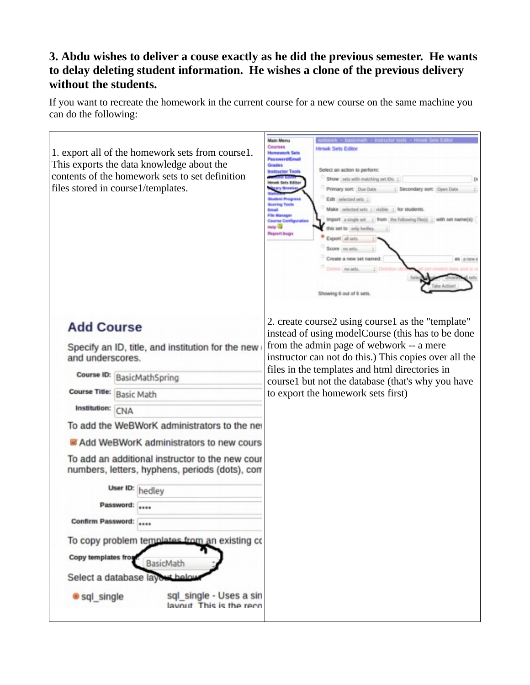## **3. Abdu wishes to deliver a couse exactly as he did the previous semester. He wants to delay deleting student information. He wishes a clone of the previous delivery without the students.**

If you want to recreate the homework in the current course for a new course on the same machine you can do the following: